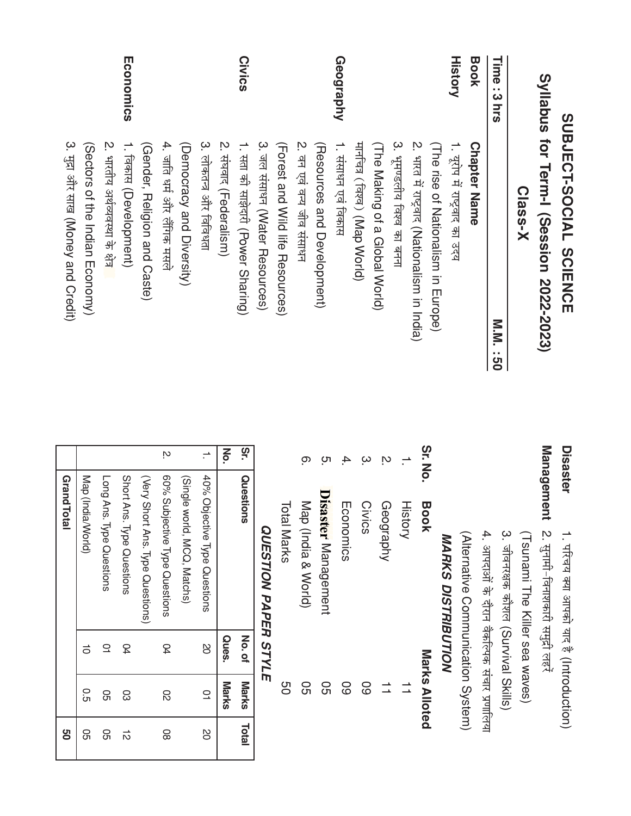|                | SUBJECT-SOCIAL<br>SUBJECT-SOCIAL              | $\overline{\mathbf{C}}$ |
|----------------|-----------------------------------------------|-------------------------|
|                | Syllabus for Term-I (Session 2022-2023)       | Σ                       |
|                | Class-X                                       |                         |
| Time : 3 hrs   | M-M-<br><br>២                                 |                         |
| <b>Book</b>    | <b>Chapter Name</b>                           |                         |
| <b>History</b> | 1. यूरोप में राष्ट्रवाद का उदय                |                         |
|                | (The rise of Nationalism in Hurobe)           |                         |
|                | 2. भारत में राष्ट्रवाद (Nationalism in India) | $\overline{\mathbf{0}}$ |
|                | 3. भूमण्डलीय विश्व का बनना                    |                         |
|                | (The Making of a Global World)                |                         |
|                | मार्नाचत्र (विश्व) (Map World)                |                         |
| Geography      | 1. संसाधन एवं विकास                           |                         |
|                | (Resources and Development)                   |                         |
|                | 2. वन एवं वन्य जीव संसाधन                     |                         |
|                | (Torest and Wild life Resources)              |                         |
|                | 3. जल ससाधन (Water Resources)                 |                         |
| <b>Civics</b>  | 1. सता की साझेदारी (Power Sharing)            | $\overline{S}$          |
|                | 2. सघवाद (Federalism)                         | $\mathbf{z}$            |
|                | 3. लोकतन्त्र और विविधता                       |                         |
|                | (Democracy and Diversity)                     |                         |
|                | 4. जाति धर्म और लेंगिक मसले                   | n,                      |
|                | (Gender, Religion and Caste)                  |                         |
| Economics      | 1. Гаकास (Development)                        |                         |
|                | 2. भारतीय अर्थव्यवस्था के क्षेत्र             |                         |
|                | (Sectors of the Indian Economy)               |                         |
|                | 3. मुद्रा और साख (Money and Credit)           |                         |
|                |                                               |                         |

|   | <b>Marks</b>         | Ques. |                                                         |                | ō. |
|---|----------------------|-------|---------------------------------------------------------|----------------|----|
| đ | <b>Marks</b>         | No.of | Questions                                               |                | 7  |
|   |                      |       | <b>QUESTION PAPER STYLE</b>                             |                |    |
|   | 90                   |       | Total Marks                                             |                |    |
|   | <u>င</u> ္ဘ          |       | Map (India & World)                                     | <u>ှ</u>       |    |
|   | င္ပ<br>၁             |       | Disaster Management                                     | ო<br>:         |    |
|   | 89                   |       | Economics                                               |                | 4. |
|   | 89                   |       | <b>Civics</b>                                           |                | ŗω |
|   | $\overrightarrow{ }$ |       | Geography                                               | ŗΟ.            |    |
|   |                      |       | <b>History</b>                                          |                |    |
|   | Marks Alloted        |       | <b>Book</b>                                             | 7.<br>No.      |    |
|   |                      |       | <b>MARKS DISTRIBUTION</b>                               |                |    |
|   |                      |       | (Alternative Communication System)                      |                |    |
|   |                      |       | 4. आपदाओं के दौरान वैकल्पिक संचार प्रणालिया             |                |    |
|   |                      |       | 3. जीवनरक्षक कौशल (Survival Skills)                     |                |    |
|   |                      |       | (Tornami The Killer sea waves)                          |                |    |
|   |                      |       | lanagement<br><u> 2. सुनामी-विनाशकारी समुद्री लहरें</u> |                |    |
|   |                      |       | 1. परिचय क्या आपको याद है (Introduction)                | <b>isaster</b> |    |
|   |                      |       |                                                         |                |    |

| οr. | Questions                        | No.of        | <b>Marks</b> | <b>Lota</b> |
|-----|----------------------------------|--------------|--------------|-------------|
| Σo. |                                  | <b>Ques.</b> | Marks        |             |
|     | 40% Objective Type Questions     | B            | $\supseteq$  | B           |
|     | (Single world, MCQ, Matchs)      |              |              |             |
| Ņ   | 60% Subjective Type Questions    | D4           | 82           | 8           |
|     | (Very Short Ans. Type Questions) |              |              |             |
|     | Short Ans. Type Questions        | <b>D</b>     | င္လ          | ಸ           |
|     | Long Ans. Type Questions         | $\supseteq$  | 95           | ႙           |
|     | Map (India/World)                | $\vec{0}$    | О.<br>С      | ႙ၟ          |
|     | <b>Grand Total</b>               |              |              | g           |